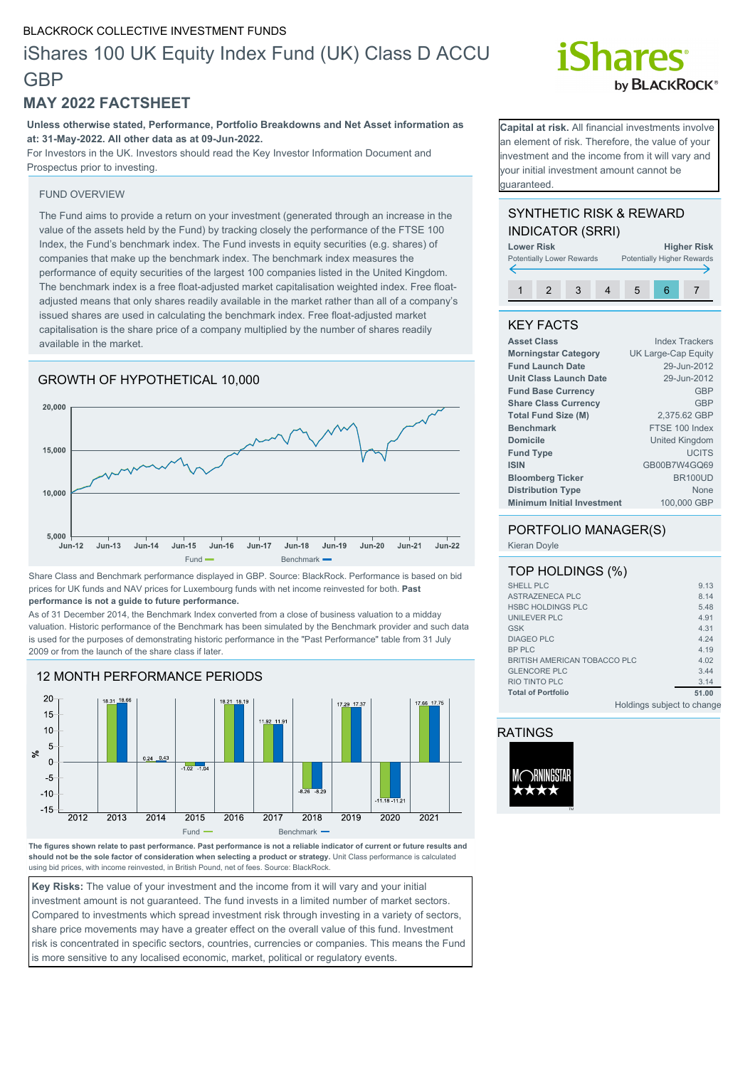## BLACKROCK COLLECTIVE INVESTMENT FUNDS

## iShares 100 UK Equity Index Fund (UK) Class D ACCU **GBP**

## **MAY 2022 FACTSHEET**

**Unless otherwise stated, Performance, Portfolio Breakdowns and Net Asset information as at: 31-May-2022. All other data as at 09-Jun-2022.**

For Investors in the UK. Investors should read the Key Investor Information Document and Prospectus prior to investing.

## FUND OVERVIEW

The Fund aims to provide a return on your investment (generated through an increase in the value of the assets held by the Fund) by tracking closely the performance of the FTSE 100 Index, the Fund's benchmark index. The Fund invests in equity securities (e.g. shares) of companies that make up the benchmark index. The benchmark index measures the performance of equity securities of the largest 100 companies listed in the United Kingdom. The benchmark index is a free float-adjusted market capitalisation weighted index. Free floatadjusted means that only shares readily available in the market rather than all of a company's issued shares are used in calculating the benchmark index. Free float-adjusted market capitalisation is the share price of a company multiplied by the number of shares readily available in the market.



Share Class and Benchmark performance displayed in GBP. Source: BlackRock. Performance is based on bid prices for UK funds and NAV prices for Luxembourg funds with net income reinvested for both. **Past performance is not a guide to future performance.**

As of 31 December 2014, the Benchmark Index converted from a close of business valuation to a midday valuation. Historic performance of the Benchmark has been simulated by the Benchmark provider and such data is used for the purposes of demonstrating historic performance in the "Past Performance" table from 31 July 2009 or from the launch of the share class if later.



**The figures shown relate to past performance. Past performance is not a reliable indicator of current or future results and should not be the sole factor of consideration when selecting a product or strategy.** Unit Class performance is calculated using bid prices, with income reinvested, in British Pound, net of fees. Source: BlackRock.

**Key Risks:** The value of your investment and the income from it will vary and your initial investment amount is not guaranteed. The fund invests in a limited number of market sectors. Compared to investments which spread investment risk through investing in a variety of sectors, share price movements may have a greater effect on the overall value of this fund. Investment risk is concentrated in specific sectors, countries, currencies or companies. This means the Fund is more sensitive to any localised economic, market, political or regulatory events.

# **Shares** by **BLACKROCK**<sup>®</sup>

**Capital at risk.** All financial investments involve an element of risk. Therefore, the value of your nvestment and the income from it will vary and your initial investment amount cannot be guaranteed.

## SYNTHETIC RISK & REWARD INDICATOR (SRRI)



## KEY FACTS

| <b>Asset Class</b>                | <b>Index Trackers</b> |
|-----------------------------------|-----------------------|
| <b>Morningstar Category</b>       | UK Large-Cap Equity   |
| <b>Fund Launch Date</b>           | 29-Jun-2012           |
| <b>Unit Class Launch Date</b>     | 29-Jun-2012           |
| <b>Fund Base Currency</b>         | <b>GBP</b>            |
| <b>Share Class Currency</b>       | <b>GBP</b>            |
| <b>Total Fund Size (M)</b>        | 2.375.62 GBP          |
| <b>Benchmark</b>                  | FTSE 100 Index        |
| <b>Domicile</b>                   | <b>United Kingdom</b> |
| <b>Fund Type</b>                  | <b>UCITS</b>          |
| <b>ISIN</b>                       | GB00B7W4GQ69          |
| <b>Bloomberg Ticker</b>           | <b>BR100UD</b>        |
| <b>Distribution Type</b>          | <b>None</b>           |
| <b>Minimum Initial Investment</b> | 100,000 GBP           |
|                                   |                       |

## PORTFOLIO MANAGER(S)

Kieran Doyle

## TOP HOLDINGS (%)

| <b>SHELL PLC</b>             | 9.13  |
|------------------------------|-------|
| <b>ASTRAZENECA PLC</b>       | 8.14  |
| <b>HSBC HOLDINGS PLC</b>     | 5.48  |
| <b>UNILEVER PLC</b>          | 4.91  |
| <b>GSK</b>                   | 4.31  |
| <b>DIAGEO PLC</b>            | 4.24  |
| <b>BP PLC</b>                | 4.19  |
| BRITISH AMERICAN TOBACCO PLC | 4.02  |
| <b>GLENCORE PLC</b>          | 3.44  |
| RIO TINTO PLC                | 3.14  |
| <b>Total of Portfolio</b>    | 51.00 |
| Ilaldingo qubiast to abong   |       |

Holdings subject to change

## RATINGS

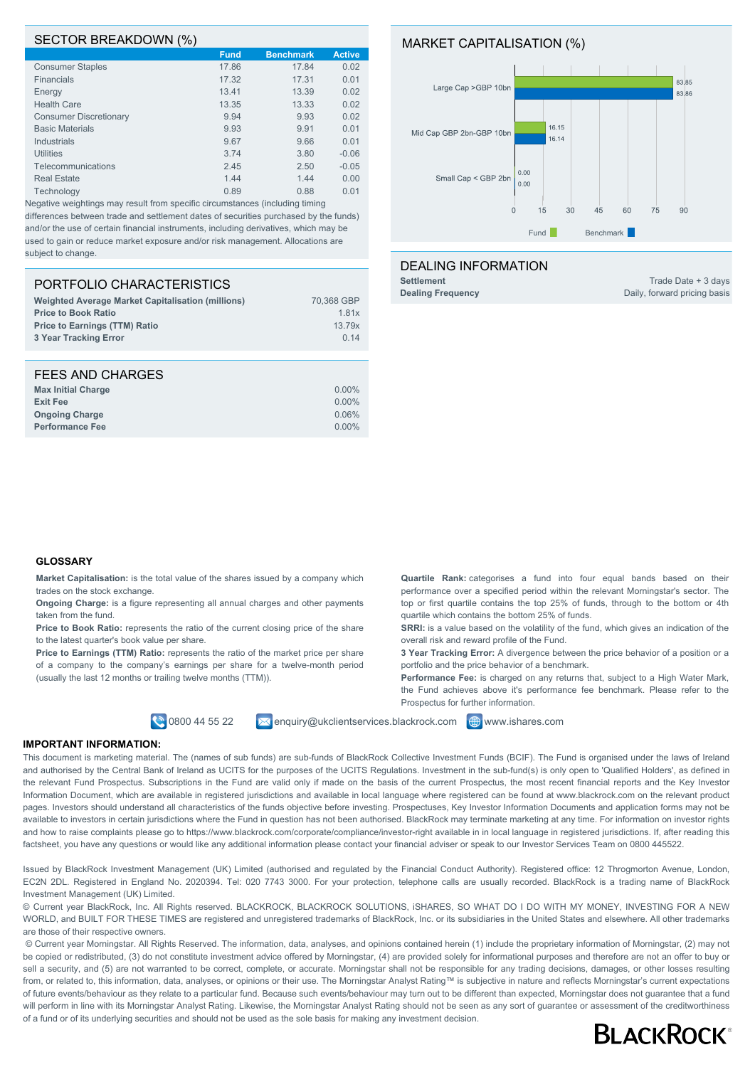#### SECTOR BREAKDOWN (%)

|                               | <b>Fund</b> | <b>Benchmark</b> | <b>Active</b> |
|-------------------------------|-------------|------------------|---------------|
| <b>Consumer Staples</b>       | 17.86       | 17.84            | 0.02          |
| <b>Financials</b>             | 17.32       | 17.31            | 0.01          |
| Energy                        | 13.41       | 13.39            | 0.02          |
| <b>Health Care</b>            | 13.35       | 13.33            | 0.02          |
| <b>Consumer Discretionary</b> | 9.94        | 9.93             | 0.02          |
| <b>Basic Materials</b>        | 9.93        | 9.91             | 0.01          |
| <b>Industrials</b>            | 9.67        | 9.66             | 0.01          |
| <b>Utilities</b>              | 3.74        | 3.80             | $-0.06$       |
| Telecommunications            | 2.45        | 2.50             | $-0.05$       |
| <b>Real Estate</b>            | 1.44        | 1.44             | 0.00          |
| Technology                    | 0.89        | 0.88             | 0.01          |
|                               |             |                  |               |

Negative weightings may result from specific circumstances (including timing differences between trade and settlement dates of securities purchased by the funds) and/or the use of certain financial instruments, including derivatives, which may be used to gain or reduce market exposure and/or risk management. Allocations are subject to change.

## PORTFOLIO CHARACTERISTICS

| <b>Weighted Average Market Capitalisation (millions)</b> | 70.368 GBP |
|----------------------------------------------------------|------------|
| <b>Price to Book Ratio</b>                               | 1.81x      |
| <b>Price to Earnings (TTM) Ratio</b>                     | 13.79x     |
| 3 Year Tracking Error                                    | 0.14       |
|                                                          |            |

| FEES AND CHARGES          |          |
|---------------------------|----------|
| <b>Max Initial Charge</b> | $0.00\%$ |
| <b>Exit Fee</b>           | $0.00\%$ |
| <b>Ongoing Charge</b>     | 0.06%    |
| <b>Performance Fee</b>    | $0.00\%$ |

## MARKET CAPITALISATION (%)



#### DEALING INFORMATION

**Settlement** Trade Date + 3 days **Dealing Frequency Daily, forward pricing basis** 

#### **GLOSSARY**

**Market Capitalisation:** is the total value of the shares issued by a company which trades on the stock exchange.

**Ongoing Charge:** is a figure representing all annual charges and other payments taken from the fund.

Price to Book Ratio: represents the ratio of the current closing price of the share to the latest quarter's book value per share.

Price to Earnings (TTM) Ratio: represents the ratio of the market price per share of a company to the company's earnings per share for a twelve-month period (usually the last 12 months or trailing twelve months (TTM)).

**0800 44 55 22** Menquiry@ukclientservices.blackrock.com **@www.ishares.com** 

**Quartile Rank:** categorises a fund into four equal bands based on their performance over a specified period within the relevant Morningstar's sector. The top or first quartile contains the top 25% of funds, through to the bottom or 4th quartile which contains the bottom 25% of funds.

**SRRI:** is a value based on the volatility of the fund, which gives an indication of the overall risk and reward profile of the Fund.

**3 Year Tracking Error:** A divergence between the price behavior of a position or a portfolio and the price behavior of a benchmark.

**Performance Fee:** is charged on any returns that, subject to a High Water Mark, the Fund achieves above it's performance fee benchmark. Please refer to the Prospectus for further information.

#### **IMPORTANT INFORMATION:**

This document is marketing material. The (names of sub funds) are sub-funds of BlackRock Collective Investment Funds (BCIF). The Fund is organised under the laws of Ireland and authorised by the Central Bank of Ireland as UCITS for the purposes of the UCITS Regulations. Investment in the sub-fund(s) is only open to 'Qualified Holders', as defined in the relevant Fund Prospectus. Subscriptions in the Fund are valid only if made on the basis of the current Prospectus, the most recent financial reports and the Key Investor Information Document, which are available in registered jurisdictions and available in local language where registered can be found at www.blackrock.com on the relevant product pages. Investors should understand all characteristics of the funds objective before investing. Prospectuses, Key Investor Information Documents and application forms may not be available to investors in certain jurisdictions where the Fund in question has not been authorised. BlackRock may terminate marketing at any time. For information on investor rights and how to raise complaints please go to https://www.blackrock.com/corporate/compliance/investor-right available in in local language in registered jurisdictions. If, after reading this factsheet, you have any questions or would like any additional information please contact your financial adviser or speak to our Investor Services Team on 0800 445522.

Issued by BlackRock Investment Management (UK) Limited (authorised and regulated by the Financial Conduct Authority). Registered office: 12 Throgmorton Avenue, London, EC2N 2DL. Registered in England No. 2020394. Tel: 020 7743 3000. For your protection, telephone calls are usually recorded. BlackRock is a trading name of BlackRock Investment Management (UK) Limited.

© Current year BlackRock, Inc. All Rights reserved. BLACKROCK, BLACKROCK SOLUTIONS, iSHARES, SO WHAT DO I DO WITH MY MONEY, INVESTING FOR A NEW WORLD, and BUILT FOR THESE TIMES are registered and unregistered trademarks of BlackRock, Inc. or its subsidiaries in the United States and elsewhere. All other trademarks are those of their respective owners.

 © Current year Morningstar. All Rights Reserved. The information, data, analyses, and opinions contained herein (1) include the proprietary information of Morningstar, (2) may not be copied or redistributed, (3) do not constitute investment advice offered by Morningstar, (4) are provided solely for informational purposes and therefore are not an offer to buy or sell a security, and (5) are not warranted to be correct, complete, or accurate. Morningstar shall not be responsible for any trading decisions, damages, or other losses resulting from, or related to, this information, data, analyses, or opinions or their use. The Morningstar Analyst Rating™ is subjective in nature and reflects Morningstar's current expectations of future events/behaviour as they relate to a particular fund. Because such events/behaviour may turn out to be different than expected, Morningstar does not guarantee that a fund will perform in line with its Morningstar Analyst Rating. Likewise, the Morningstar Analyst Rating should not be seen as any sort of guarantee or assessment of the creditworthiness of a fund or of its underlying securities and should not be used as the sole basis for making any investment decision.